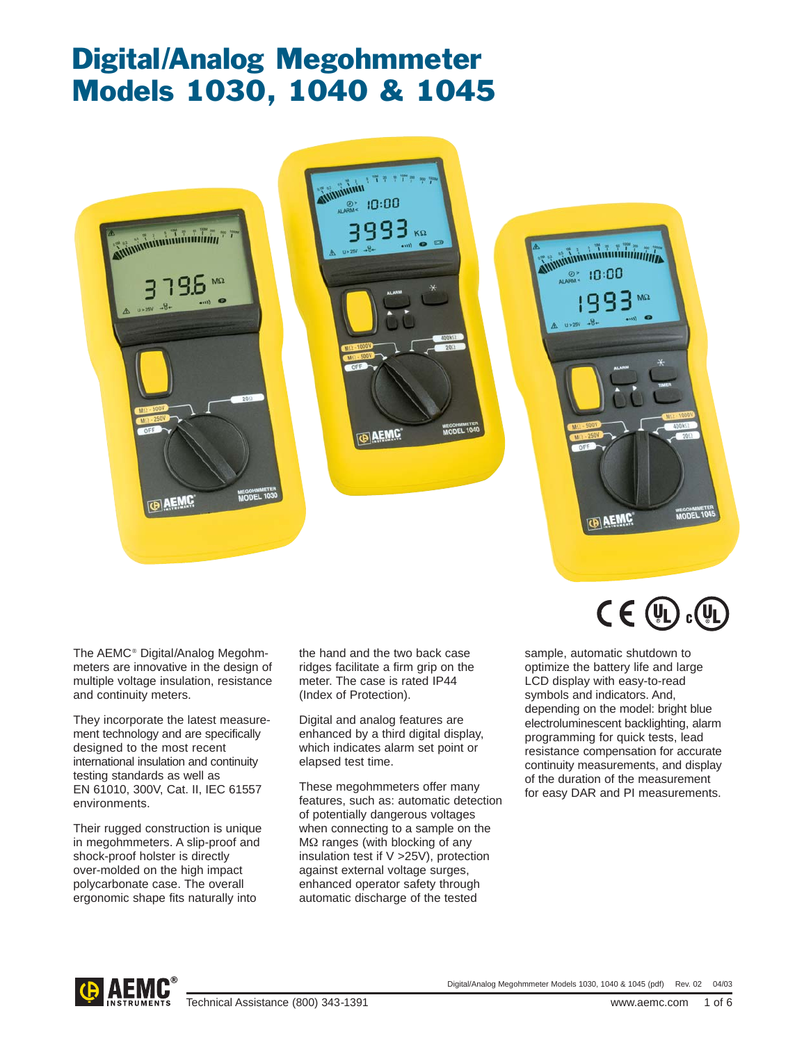# Digital/Analog Megohmmeter Models 1030, 1040 & 1045







The AEMC® Digital/Analog Megohmmeters are innovative in the design of multiple voltage insulation, resistance and continuity meters.

They incorporate the latest measurement technology and are specifically designed to the most recent international insulation and continuity testing standards as well as EN 61010, 300V, Cat. II, IEC 61557 environments.

Their rugged construction is unique in megohmmeters. A slip-proof and shock-proof holster is directly over-molded on the high impact polycarbonate case. The overall ergonomic shape fits naturally into

the hand and the two back case ridges facilitate a firm grip on the meter. The case is rated IP44 (Index of Protection).

Digital and analog features are enhanced by a third digital display, which indicates alarm set point or elapsed test time.

These megohmmeters offer many features, such as: automatic detection of potentially dangerous voltages when connecting to a sample on the MΩ ranges (with blocking of any insulation test if V >25V), protection against external voltage surges, enhanced operator safety through automatic discharge of the tested

 $C \in (V_L)$  $c$  (VL

sample, automatic shutdown to optimize the battery life and large LCD display with easy-to-read symbols and indicators. And, depending on the model: bright blue electroluminescent backlighting, alarm programming for quick tests, lead resistance compensation for accurate continuity measurements, and display of the duration of the measurement for easy DAR and PI measurements.

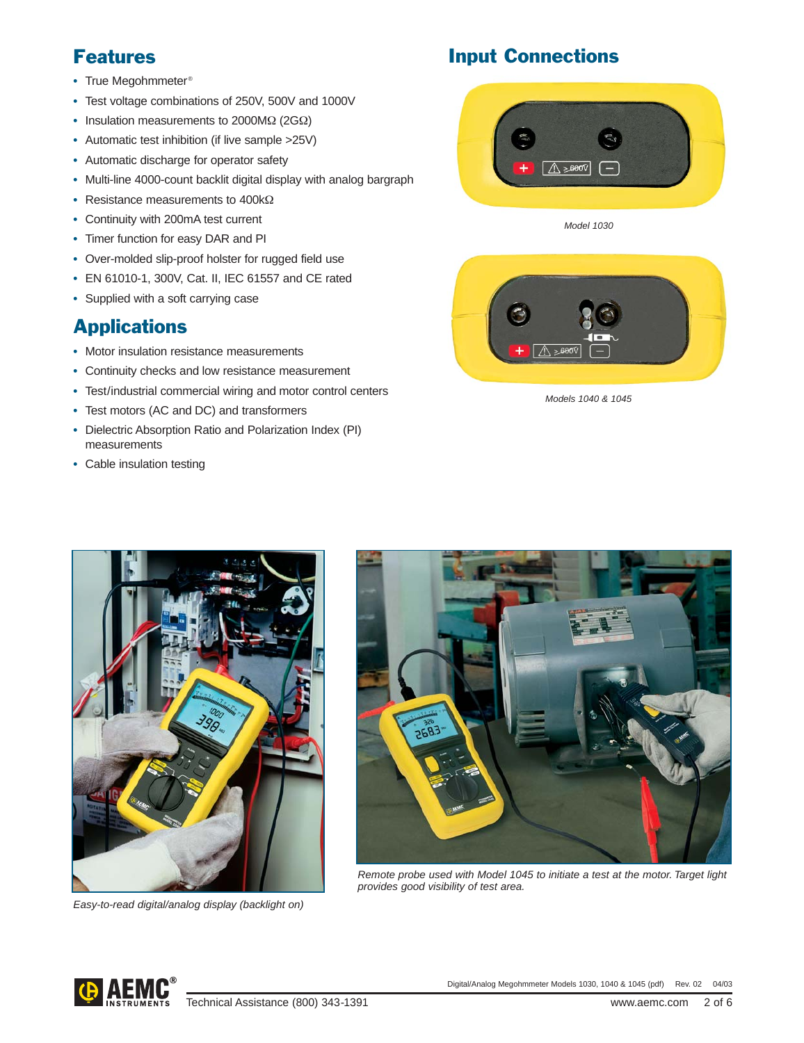- **•** True Megohmmeter®
- **•** Test voltage combinations of 250V, 500V and 1000V
- **•** Insulation measurements to 2000MΩ (2GΩ)
- **•** Automatic test inhibition (if live sample >25V)
- **•** Automatic discharge for operator safety
- **•** Multi-line 4000-count backlit digital display with analog bargraph
- **•** Resistance measurements to 400kΩ
- **•** Continuity with 200mA test current
- **•** Timer function for easy DAR and PI
- **•** Over-molded slip-proof holster for rugged field use
- **•** EN 61010-1, 300V, Cat. II, IEC 61557 and CE rated
- **•** Supplied with a soft carrying case

## Applications

- **•** Motor insulation resistance measurements
- **•** Continuity checks and low resistance measurement
- **•** Test/industrial commercial wiring and motor control centers
- **•** Test motors (AC and DC) and transformers
- **•** Dielectric Absorption Ratio and Polarization Index (PI) measurements
- **•** Cable insulation testing





Model 1030



Models 1040 & 1045



Easy-to-read digital/analog display (backlight on)



Remote probe used with Model 1045 to initiate a test at the motor. Target light provides good visibility of test area.

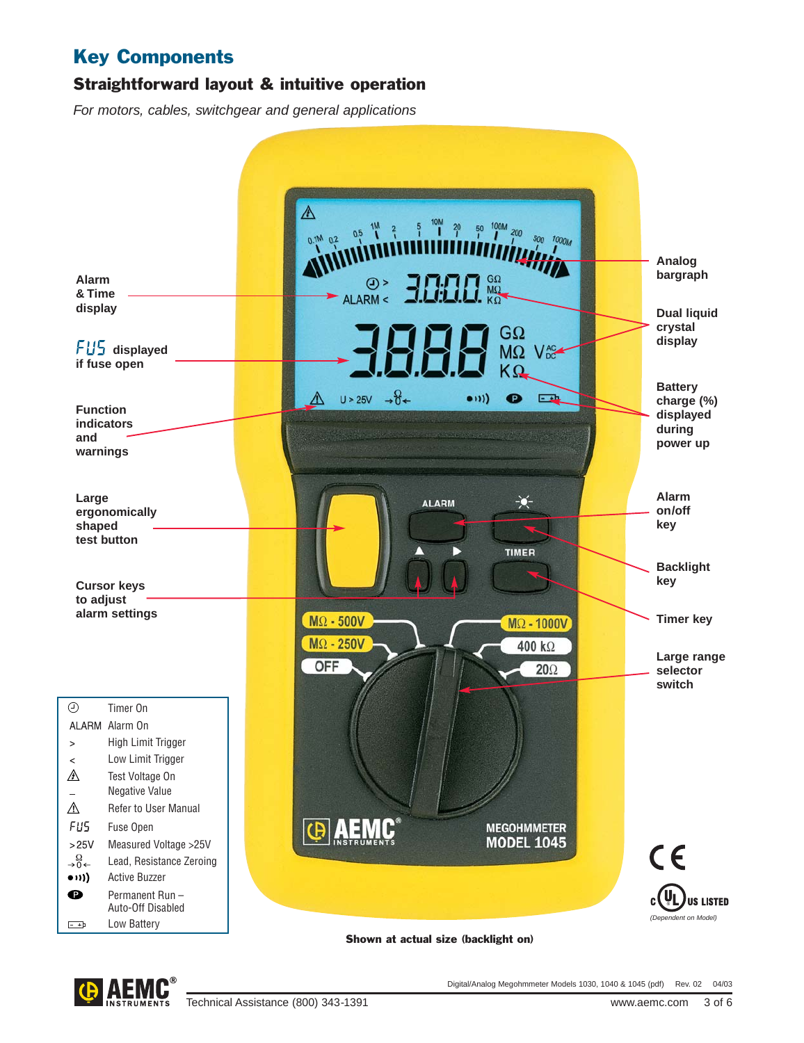## Key Components

### Straightforward layout & intuitive operation

For motors, cables, switchgear and general applications



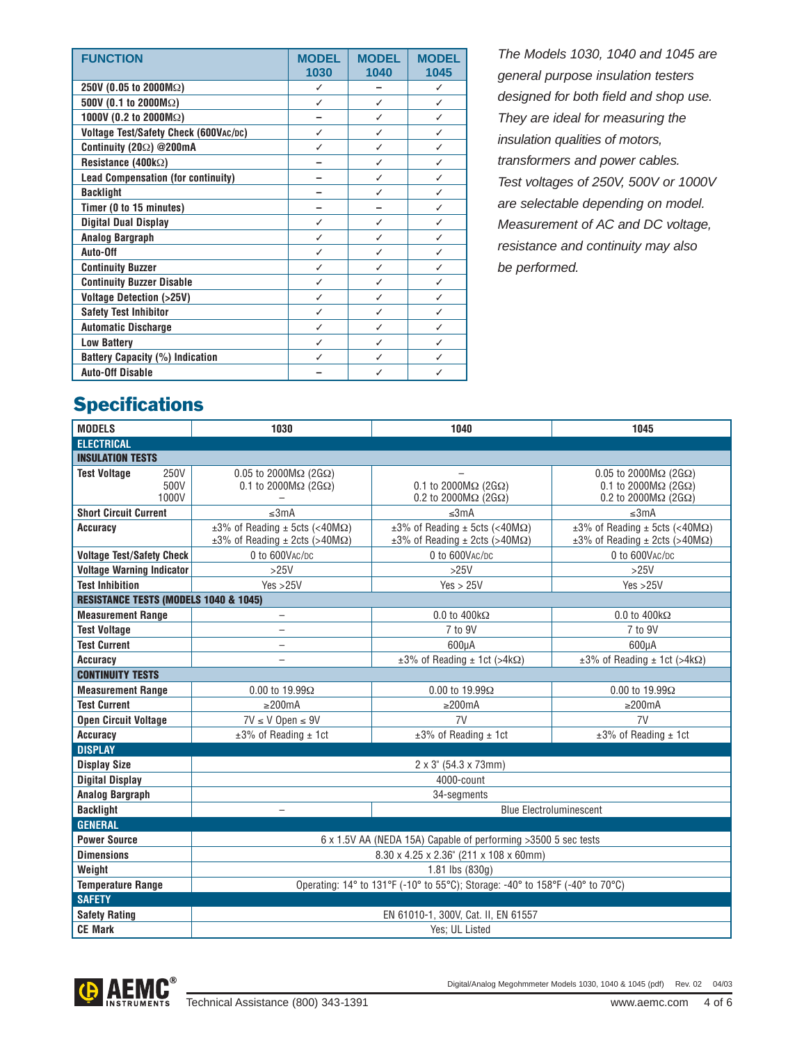| <b>FUNCTION</b>                           | <b>MODEL</b><br>1030 | <b>MODEL</b><br>1040 | <b>MODEL</b><br>1045 |
|-------------------------------------------|----------------------|----------------------|----------------------|
| 250V (0.05 to 2000MΩ)                     | J                    |                      |                      |
| 500V (0.1 to 2000M $\Omega$ )             | ✓                    | ✓                    | ✓                    |
| 1000V (0.2 to 2000M $\Omega$ )            |                      | ✓                    | ✓                    |
| Voltage Test/Safety Check (600VAC/DC)     | J                    | ✓                    |                      |
| Continuity (202) @200mA                   | ✓                    | ℐ                    |                      |
| Resistance (400 $k\Omega$ )               |                      | ✓                    | ✓                    |
| <b>Lead Compensation (for continuity)</b> |                      | ✓                    |                      |
| <b>Backlight</b>                          |                      | ✓                    |                      |
| Timer (0 to 15 minutes)                   |                      |                      | ✓                    |
| <b>Digital Dual Display</b>               | ✓                    | ✓                    |                      |
| <b>Analog Bargraph</b>                    |                      | J                    |                      |
| Auto-Off                                  | ✓                    | ✓                    | J                    |
| <b>Continuity Buzzer</b>                  | ✓                    | ℐ                    |                      |
| <b>Continuity Buzzer Disable</b>          |                      | ✓                    |                      |
| <b>Voltage Detection (&gt;25V)</b>        | ✓                    | ✓                    | J                    |
| <b>Safety Test Inhibitor</b>              | J                    | ✓                    | $\checkmark$         |
| <b>Automatic Discharge</b>                |                      | ✓                    |                      |
| <b>Low Battery</b>                        | ℐ                    | ✓                    | ℐ                    |
| <b>Battery Capacity (%) Indication</b>    | J                    | ✓                    |                      |
| <b>Auto-Off Disable</b>                   |                      | ✓                    |                      |

The Models 1030, 1040 and 1045 are general purpose insulation testers designed for both field and shop use. They are ideal for measuring the insulation qualities of motors, transformers and power cables. Test voltages of 250V, 500V or 1000V are selectable depending on model. Measurement of AC and DC voltage, resistance and continuity may also be performed.

## **Specifications**

| <b>MODELS</b>                                    | 1030                                                                                                 | 1040                                                                                                 | 1045                                                                                                                    |  |  |  |  |
|--------------------------------------------------|------------------------------------------------------------------------------------------------------|------------------------------------------------------------------------------------------------------|-------------------------------------------------------------------------------------------------------------------------|--|--|--|--|
| <b>ELECTRICAL</b>                                |                                                                                                      |                                                                                                      |                                                                                                                         |  |  |  |  |
| <b>INSULATION TESTS</b>                          |                                                                                                      |                                                                                                      |                                                                                                                         |  |  |  |  |
| 250V<br><b>Test Voltage</b><br>500V<br>1000V     | $0.05$ to 2000M $\Omega$ (2G $\Omega$ )<br>0.1 to 2000 $M\Omega$ (2G $\Omega$ )                      | $0.1$ to 2000M $\Omega$ (2G $\Omega$ )<br>0.2 to 2000 $M\Omega$ (2G $\Omega$ )                       | $0.05$ to 2000M $\Omega$ (2G $\Omega$ )<br>0.1 to 2000 $M\Omega$ (2G $\Omega$ )<br>0.2 to 2000 $M\Omega$ (2G $\Omega$ ) |  |  |  |  |
| <b>Short Circuit Current</b>                     | $\leq 3mA$                                                                                           | ≤3mA                                                                                                 | ≤3mA                                                                                                                    |  |  |  |  |
| <b>Accuracy</b>                                  | $\pm 3\%$ of Reading $\pm$ 5cts (<40M $\Omega$ )<br>$\pm 3\%$ of Reading $\pm$ 2cts (>40M $\Omega$ ) | $\pm 3\%$ of Reading $\pm$ 5cts (<40M $\Omega$ )<br>$\pm 3\%$ of Reading $\pm$ 2cts (>40M $\Omega$ ) | $\pm 3\%$ of Reading $\pm$ 5cts (<40M $\Omega$ )<br>$\pm 3\%$ of Reading $\pm$ 2cts (>40M $\Omega$ )                    |  |  |  |  |
| <b>Voltage Test/Safety Check</b>                 | 0 to 600VAC/DC                                                                                       | 0 to 600VAC/DC                                                                                       | 0 to 600VAC/DC                                                                                                          |  |  |  |  |
| <b>Voltage Warning Indicator</b>                 | $>25V$                                                                                               | $>25V$                                                                                               | $>25V$                                                                                                                  |  |  |  |  |
| <b>Test Inhibition</b>                           | Yes > 25V                                                                                            | Yes > 25V                                                                                            | Yes > 25V                                                                                                               |  |  |  |  |
| <b>RESISTANCE TESTS (MODELS 1040 &amp; 1045)</b> |                                                                                                      |                                                                                                      |                                                                                                                         |  |  |  |  |
| <b>Measurement Range</b>                         | $\qquad \qquad -$                                                                                    | $0.0$ to $400k\Omega$                                                                                | $0.0$ to $400k\Omega$                                                                                                   |  |  |  |  |
| <b>Test Voltage</b>                              | $\overline{\phantom{0}}$                                                                             | 7 to 9V                                                                                              | 7 to 9V                                                                                                                 |  |  |  |  |
| <b>Test Current</b>                              | $\qquad \qquad -$                                                                                    | 600uA                                                                                                | 600uA                                                                                                                   |  |  |  |  |
| <b>Accuracy</b>                                  |                                                                                                      | $\pm 3\%$ of Reading $\pm$ 1ct (>4kΩ)                                                                | $\pm 3\%$ of Reading $\pm$ 1ct (>4kΩ)                                                                                   |  |  |  |  |
| <b>CONTINUITY TESTS</b>                          |                                                                                                      |                                                                                                      |                                                                                                                         |  |  |  |  |
| <b>Measurement Range</b>                         | $0.00$ to 19.99 $\Omega$                                                                             | $0.00$ to 19.99 $\Omega$                                                                             | $0.00$ to 19.99 $\Omega$                                                                                                |  |  |  |  |
| <b>Test Current</b>                              | $\geq$ 200mA                                                                                         | $\geq$ 200mA                                                                                         | $\geq$ 200mA                                                                                                            |  |  |  |  |
| <b>Open Circuit Voltage</b>                      | $7V \leq V$ Open $\leq 9V$                                                                           | 7V                                                                                                   | 7V                                                                                                                      |  |  |  |  |
| <b>Accuracy</b>                                  | $±3\%$ of Reading $±1$ ct                                                                            | ±3% of Reading ± 1ct                                                                                 | $±3\%$ of Reading $±1$ ct                                                                                               |  |  |  |  |
| <b>DISPLAY</b>                                   |                                                                                                      |                                                                                                      |                                                                                                                         |  |  |  |  |
| <b>Display Size</b>                              | $2 \times 3$ " (54.3 x 73mm)                                                                         |                                                                                                      |                                                                                                                         |  |  |  |  |
| <b>Digital Display</b>                           | 4000-count                                                                                           |                                                                                                      |                                                                                                                         |  |  |  |  |
| <b>Analog Bargraph</b>                           | 34-segments                                                                                          |                                                                                                      |                                                                                                                         |  |  |  |  |
| <b>Backlight</b>                                 | $\overline{\phantom{0}}$                                                                             | <b>Blue Electroluminescent</b>                                                                       |                                                                                                                         |  |  |  |  |
| <b>GENERAL</b>                                   |                                                                                                      |                                                                                                      |                                                                                                                         |  |  |  |  |
| <b>Power Source</b>                              | 6 x 1.5V AA (NEDA 15A) Capable of performing > 3500 5 sec tests                                      |                                                                                                      |                                                                                                                         |  |  |  |  |
| <b>Dimensions</b>                                | 8.30 x 4.25 x 2.36" (211 x 108 x 60mm)                                                               |                                                                                                      |                                                                                                                         |  |  |  |  |
| Weight                                           | $1.81$ lbs $(830q)$                                                                                  |                                                                                                      |                                                                                                                         |  |  |  |  |
| <b>Temperature Range</b>                         | Operating: 14° to 131°F (-10° to 55°C); Storage: -40° to 158°F (-40° to 70°C)                        |                                                                                                      |                                                                                                                         |  |  |  |  |
| <b>SAFETY</b>                                    |                                                                                                      |                                                                                                      |                                                                                                                         |  |  |  |  |
| <b>Safety Rating</b>                             | EN 61010-1, 300V, Cat. II, EN 61557                                                                  |                                                                                                      |                                                                                                                         |  |  |  |  |
| <b>CE Mark</b>                                   | Yes; UL Listed                                                                                       |                                                                                                      |                                                                                                                         |  |  |  |  |

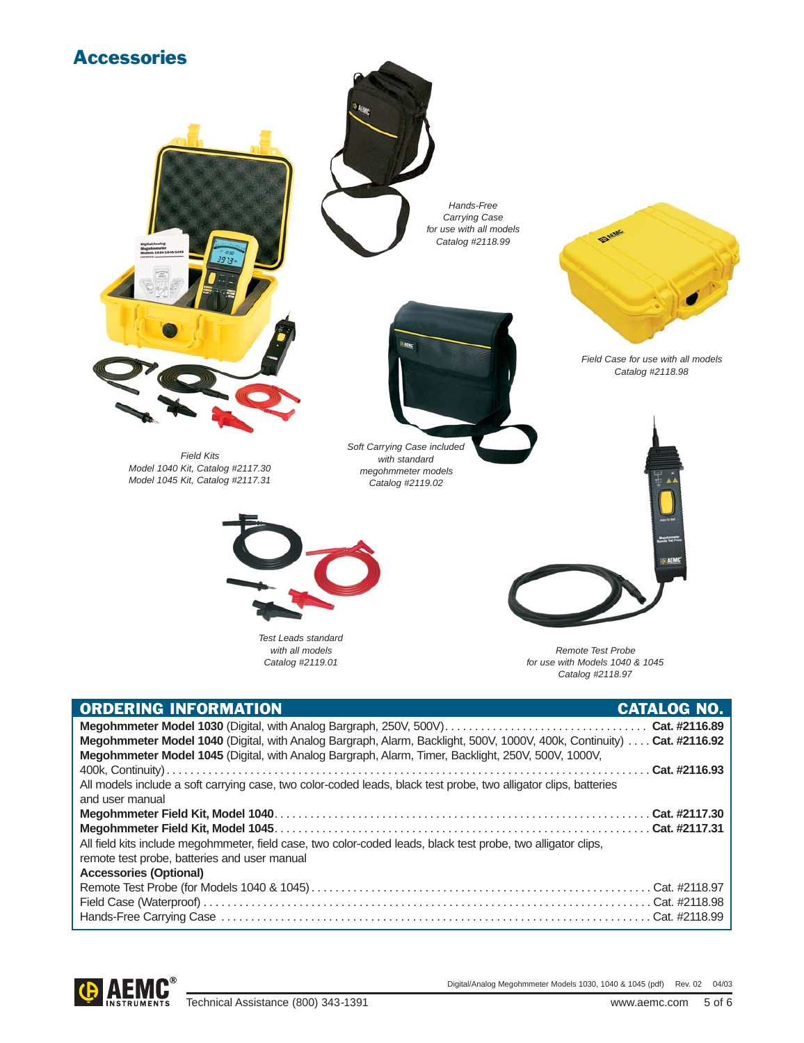

| <b>ORDERING INFORMATION</b>                                                                                            | <b>CATALOG NO.</b> |
|------------------------------------------------------------------------------------------------------------------------|--------------------|
|                                                                                                                        |                    |
| Megohmmeter Model 1040 (Digital, with Analog Bargraph, Alarm, Backlight, 500V, 1000V, 400k, Continuity)  Cat. #2116.92 |                    |
| Megohmmeter Model 1045 (Digital, with Analog Bargraph, Alarm, Timer, Backlight, 250V, 500V, 1000V,                     |                    |
|                                                                                                                        |                    |
| All models include a soft carrying case, two color-coded leads, black test probe, two alligator clips, batteries       |                    |
| and user manual                                                                                                        |                    |
|                                                                                                                        |                    |
|                                                                                                                        |                    |
| All field kits include megohmmeter, field case, two color-coded leads, black test probe, two alligator clips,          |                    |
| remote test probe, batteries and user manual                                                                           |                    |
| <b>Accessories (Optional)</b>                                                                                          |                    |
|                                                                                                                        |                    |
|                                                                                                                        |                    |
|                                                                                                                        |                    |